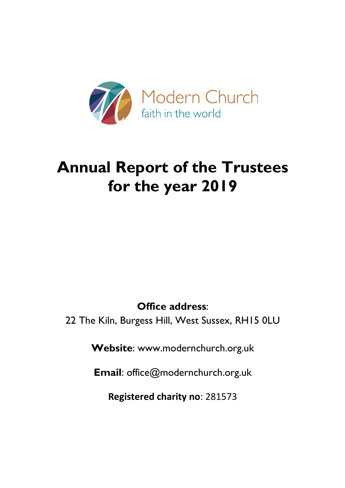

# **Annual Report of the Trustees for the year 2019**

**Office address**:

22 The Kiln, Burgess Hill, West Sussex, RH15 0LU

**Website**: www.modernchurch.org.uk

**Email**: office@modernchurch.org.uk

**Registered charity no**: 281573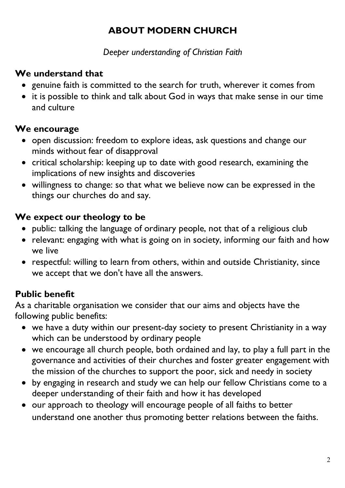# **ABOUT MODERN CHURCH**

*Deeper understanding of Christian Faith*

# **We understand that**

- genuine faith is committed to the search for truth, wherever it comes from
- it is possible to think and talk about God in ways that make sense in our time and culture

# **We encourage**

- open discussion: freedom to explore ideas, ask questions and change our minds without fear of disapproval
- critical scholarship: keeping up to date with good research, examining the implications of new insights and discoveries
- willingness to change: so that what we believe now can be expressed in the things our churches do and say.

# **We expect our theology to be**

- public: talking the language of ordinary people, not that of a religious club
- relevant: engaging with what is going on in society, informing our faith and how we live
- respectful: willing to learn from others, within and outside Christianity, since we accept that we don't have all the answers.

# **Public benefit**

As a charitable organisation we consider that our aims and objects have the following public benefits:

- we have a duty within our present-day society to present Christianity in a way which can be understood by ordinary people
- we encourage all church people, both ordained and lay, to play a full part in the governance and activities of their churches and foster greater engagement with the mission of the churches to support the poor, sick and needy in society
- by engaging in research and study we can help our fellow Christians come to a deeper understanding of their faith and how it has developed
- our approach to theology will encourage people of all faiths to better understand one another thus promoting better relations between the faiths.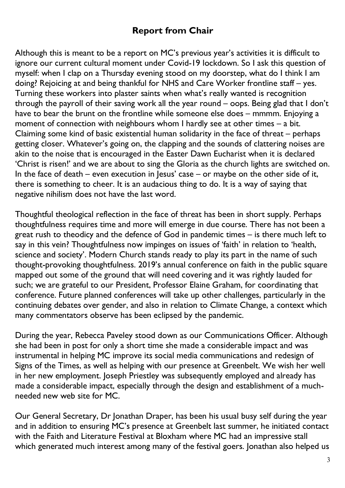# **Report from Chair**

Although this is meant to be a report on MC's previous year's activities it is difficult to ignore our current cultural moment under Covid-19 lockdown. So I ask this question of myself: when I clap on a Thursday evening stood on my doorstep, what do I think I am doing? Rejoicing at and being thankful for NHS and Care Worker frontline staff – yes. Turning these workers into plaster saints when what's really wanted is recognition through the payroll of their saving work all the year round – oops. Being glad that I don't have to bear the brunt on the frontline while someone else does – mmmm. Enjoying a moment of connection with neighbours whom I hardly see at other times – a bit. Claiming some kind of basic existential human solidarity in the face of threat – perhaps getting closer. Whatever's going on, the clapping and the sounds of clattering noises are akin to the noise that is encouraged in the Easter Dawn Eucharist when it is declared 'Christ is risen!' and we are about to sing the Gloria as the church lights are switched on. In the face of death – even execution in Jesus' case – or maybe on the other side of it, there is something to cheer. It is an audacious thing to do. It is a way of saying that negative nihilism does not have the last word.

Thoughtful theological reflection in the face of threat has been in short supply. Perhaps thoughtfulness requires time and more will emerge in due course. There has not been a great rush to theodicy and the defence of God in pandemic times – is there much left to say in this vein? Thoughtfulness now impinges on issues of 'faith' in relation to 'health, science and society'. Modern Church stands ready to play its part in the name of such thought-provoking thoughtfulness. 2019's annual conference on faith in the public square mapped out some of the ground that will need covering and it was rightly lauded for such; we are grateful to our President, Professor Elaine Graham, for coordinating that conference. Future planned conferences will take up other challenges, particularly in the continuing debates over gender, and also in relation to Climate Change, a context which many commentators observe has been eclipsed by the pandemic.

During the year, Rebecca Paveley stood down as our Communications Officer. Although she had been in post for only a short time she made a considerable impact and was instrumental in helping MC improve its social media communications and redesign of Signs of the Times, as well as helping with our presence at Greenbelt. We wish her well in her new employment. Joseph Priestley was subsequently employed and already has made a considerable impact, especially through the design and establishment of a muchneeded new web site for MC.

Our General Secretary, Dr Jonathan Draper, has been his usual busy self during the year and in addition to ensuring MC's presence at Greenbelt last summer, he initiated contact with the Faith and Literature Festival at Bloxham where MC had an impressive stall which generated much interest among many of the festival goers. Jonathan also helped us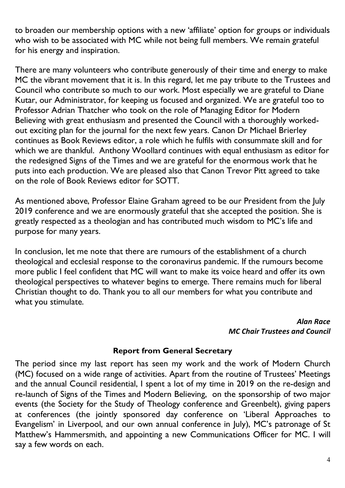to broaden our membership options with a new 'affiliate' option for groups or individuals who wish to be associated with MC while not being full members. We remain grateful for his energy and inspiration.

There are many volunteers who contribute generously of their time and energy to make MC the vibrant movement that it is. In this regard, let me pay tribute to the Trustees and Council who contribute so much to our work. Most especially we are grateful to Diane Kutar, our Administrator, for keeping us focused and organized. We are grateful too to Professor Adrian Thatcher who took on the role of Managing Editor for Modern Believing with great enthusiasm and presented the Council with a thoroughly workedout exciting plan for the journal for the next few years. Canon Dr Michael Brierley continues as Book Reviews editor, a role which he fulfils with consummate skill and for which we are thankful. Anthony Woollard continues with equal enthusiasm as editor for the redesigned Signs of the Times and we are grateful for the enormous work that he puts into each production. We are pleased also that Canon Trevor Pitt agreed to take on the role of Book Reviews editor for SOTT.

As mentioned above, Professor Elaine Graham agreed to be our President from the July 2019 conference and we are enormously grateful that she accepted the position. She is greatly respected as a theologian and has contributed much wisdom to MC's life and purpose for many years.

In conclusion, let me note that there are rumours of the establishment of a church theological and ecclesial response to the coronavirus pandemic. If the rumours become more public I feel confident that MC will want to make its voice heard and offer its own theological perspectives to whatever begins to emerge. There remains much for liberal Christian thought to do. Thank you to all our members for what you contribute and what you stimulate.

### *Alan Race MC Chair Trustees and Council*

#### **Report from General Secretary**

The period since my last report has seen my work and the work of Modern Church (MC) focused on a wide range of activities. Apart from the routine of Trustees' Meetings and the annual Council residential, I spent a lot of my time in 2019 on the re-design and re-launch of Signs of the Times and Modern Believing, on the sponsorship of two major events (the Society for the Study of Theology conference and Greenbelt), giving papers at conferences (the jointly sponsored day conference on 'Liberal Approaches to Evangelism' in Liverpool, and our own annual conference in July), MC's patronage of St Matthew's Hammersmith, and appointing a new Communications Officer for MC. I will say a few words on each.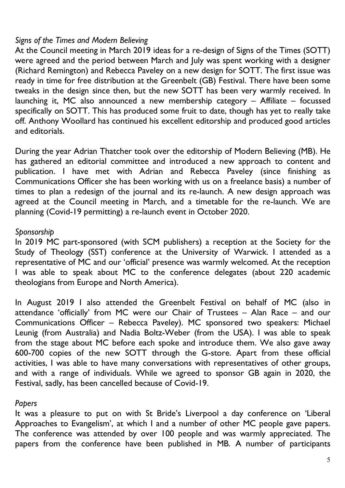# *Signs of the Times and Modern Believing*

At the Council meeting in March 2019 ideas for a re-design of Signs of the Times (SOTT) were agreed and the period between March and July was spent working with a designer (Richard Remington) and Rebecca Paveley on a new design for SOTT. The first issue was ready in time for free distribution at the Greenbelt (GB) Festival. There have been some tweaks in the design since then, but the new SOTT has been very warmly received. In launching it, MC also announced a new membership category – Affiliate – focussed specifically on SOTT. This has produced some fruit to date, though has yet to really take off. Anthony Woollard has continued his excellent editorship and produced good articles and editorials.

During the year Adrian Thatcher took over the editorship of Modern Believing (MB). He has gathered an editorial committee and introduced a new approach to content and publication. I have met with Adrian and Rebecca Paveley (since finishing as Communications Officer she has been working with us on a freelance basis) a number of times to plan a redesign of the journal and its re-launch. A new design approach was agreed at the Council meeting in March, and a timetable for the re-launch. We are planning (Covid-19 permitting) a re-launch event in October 2020.

# *Sponsorship*

In 2019 MC part-sponsored (with SCM publishers) a reception at the Society for the Study of Theology (SST) conference at the University of Warwick. I attended as a representative of MC and our 'official' presence was warmly welcomed. At the reception I was able to speak about MC to the conference delegates (about 220 academic theologians from Europe and North America).

In August 2019 I also attended the Greenbelt Festival on behalf of MC (also in attendance 'officially' from MC were our Chair of Trustees – Alan Race – and our Communications Officer – Rebecca Paveley). MC sponsored two speakers: Michael Leunig (from Australia) and Nadia Boltz-Weber (from the USA). I was able to speak from the stage about MC before each spoke and introduce them. We also gave away 600-700 copies of the new SOTT through the G-store. Apart from these official activities, I was able to have many conversations with representatives of other groups, and with a range of individuals. While we agreed to sponsor GB again in 2020, the Festival, sadly, has been cancelled because of Covid-19.

### *Papers*

It was a pleasure to put on with St Bride's Liverpool a day conference on 'Liberal Approaches to Evangelism', at which I and a number of other MC people gave papers. The conference was attended by over 100 people and was warmly appreciated. The papers from the conference have been published in MB. A number of participants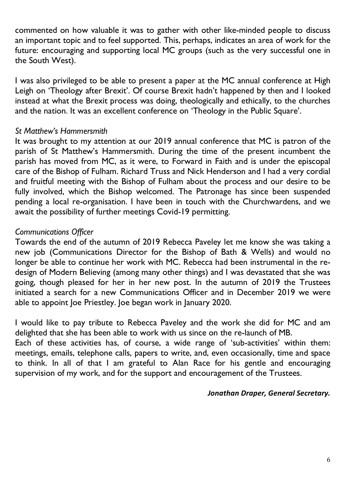commented on how valuable it was to gather with other like-minded people to discuss an important topic and to feel supported. This, perhaps, indicates an area of work for the future: encouraging and supporting local MC groups (such as the very successful one in the South West).

I was also privileged to be able to present a paper at the MC annual conference at High Leigh on 'Theology after Brexit'. Of course Brexit hadn't happened by then and I looked instead at what the Brexit process was doing, theologically and ethically, to the churches and the nation. It was an excellent conference on 'Theology in the Public Square'.

### *St Matthew's Hammersmith*

It was brought to my attention at our 2019 annual conference that MC is patron of the parish of St Matthew's Hammersmith. During the time of the present incumbent the parish has moved from MC, as it were, to Forward in Faith and is under the episcopal care of the Bishop of Fulham. Richard Truss and Nick Henderson and I had a very cordial and fruitful meeting with the Bishop of Fulham about the process and our desire to be fully involved, which the Bishop welcomed. The Patronage has since been suspended pending a local re-organisation. I have been in touch with the Churchwardens, and we await the possibility of further meetings Covid-19 permitting.

# *Communications Officer*

Towards the end of the autumn of 2019 Rebecca Paveley let me know she was taking a new job (Communications Director for the Bishop of Bath & Wells) and would no longer be able to continue her work with MC. Rebecca had been instrumental in the redesign of Modern Believing (among many other things) and I was devastated that she was going, though pleased for her in her new post. In the autumn of 2019 the Trustees initiated a search for a new Communications Officer and in December 2019 we were able to appoint Joe Priestley. Joe began work in January 2020.

I would like to pay tribute to Rebecca Paveley and the work she did for MC and am delighted that she has been able to work with us since on the re-launch of MB.

Each of these activities has, of course, a wide range of 'sub-activities' within them: meetings, emails, telephone calls, papers to write, and, even occasionally, time and space to think. In all of that I am grateful to Alan Race for his gentle and encouraging supervision of my work, and for the support and encouragement of the Trustees.

#### *Jonathan Draper, General Secretary.*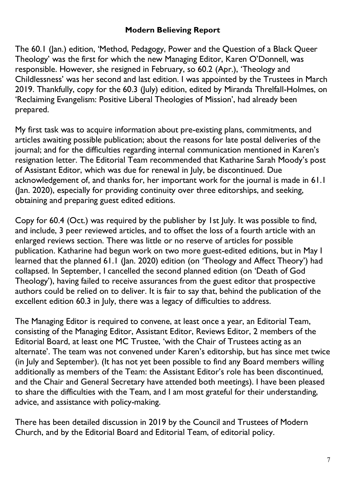### **Modern Believing Report**

The 60.1 (Jan.) edition, 'Method, Pedagogy, Power and the Question of a Black Queer Theology' was the first for which the new Managing Editor, Karen O'Donnell, was responsible. However, she resigned in February, so 60.2 (Apr.), 'Theology and Childlessness' was her second and last edition. I was appointed by the Trustees in March 2019. Thankfully, copy for the 60.3 (July) edition, edited by Miranda Threlfall-Holmes, on 'Reclaiming Evangelism: Positive Liberal Theologies of Mission', had already been prepared.

My first task was to acquire information about pre-existing plans, commitments, and articles awaiting possible publication; about the reasons for late postal deliveries of the journal; and for the difficulties regarding internal communication mentioned in Karen's resignation letter. The Editorial Team recommended that Katharine Sarah Moody's post of Assistant Editor, which was due for renewal in July, be discontinued. Due acknowledgement of, and thanks for, her important work for the journal is made in 61.1 (Jan. 2020), especially for providing continuity over three editorships, and seeking, obtaining and preparing guest edited editions.

Copy for 60.4 (Oct.) was required by the publisher by 1st July. It was possible to find, and include, 3 peer reviewed articles, and to offset the loss of a fourth article with an enlarged reviews section. There was little or no reserve of articles for possible publication. Katharine had begun work on two more guest-edited editions, but in May I learned that the planned 61.1 (Jan. 2020) edition (on 'Theology and Affect Theory') had collapsed. In September, I cancelled the second planned edition (on 'Death of God Theology'), having failed to receive assurances from the guest editor that prospective authors could be relied on to deliver. It is fair to say that, behind the publication of the excellent edition 60.3 in July, there was a legacy of difficulties to address.

The Managing Editor is required to convene, at least once a year, an Editorial Team, consisting of the Managing Editor, Assistant Editor, Reviews Editor, 2 members of the Editorial Board, at least one MC Trustee, 'with the Chair of Trustees acting as an alternate'. The team was not convened under Karen's editorship, but has since met twice (in July and September). (It has not yet been possible to find any Board members willing additionally as members of the Team: the Assistant Editor's role has been discontinued, and the Chair and General Secretary have attended both meetings). I have been pleased to share the difficulties with the Team, and I am most grateful for their understanding, advice, and assistance with policy-making.

There has been detailed discussion in 2019 by the Council and Trustees of Modern Church, and by the Editorial Board and Editorial Team, of editorial policy.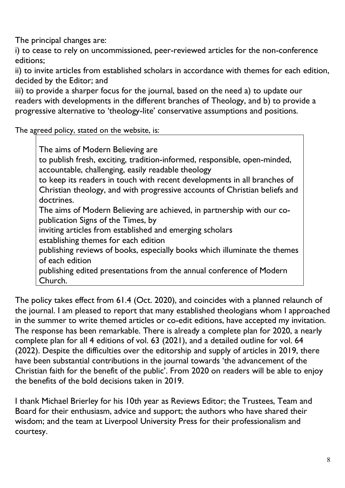The principal changes are:

i) to cease to rely on uncommissioned, peer-reviewed articles for the non-conference editions;

ii) to invite articles from established scholars in accordance with themes for each edition, decided by the Editor; and

iii) to provide a sharper focus for the journal, based on the need a) to update our readers with developments in the different branches of Theology, and b) to provide a progressive alternative to 'theology-lite' conservative assumptions and positions.

The agreed policy, stated on the website, is:

The aims of Modern Believing are to publish fresh, exciting, tradition-informed, responsible, open-minded, accountable, challenging, easily readable theology to keep its readers in touch with recent developments in all branches of Christian theology, and with progressive accounts of Christian beliefs and doctrines. The aims of Modern Believing are achieved, in partnership with our copublication Signs of the Times, by inviting articles from established and emerging scholars establishing themes for each edition publishing reviews of books, especially books which illuminate the themes of each edition publishing edited presentations from the annual conference of Modern Church.

The policy takes effect from 61.4 (Oct. 2020), and coincides with a planned relaunch of the journal. I am pleased to report that many established theologians whom I approached in the summer to write themed articles or co-edit editions, have accepted my invitation. The response has been remarkable. There is already a complete plan for 2020, a nearly complete plan for all 4 editions of vol. 63 (2021), and a detailed outline for vol. 64 (2022). Despite the difficulties over the editorship and supply of articles in 2019, there have been substantial contributions in the journal towards 'the advancement of the Christian faith for the benefit of the public'. From 2020 on readers will be able to enjoy the benefits of the bold decisions taken in 2019.

I thank Michael Brierley for his 10th year as Reviews Editor; the Trustees, Team and Board for their enthusiasm, advice and support; the authors who have shared their wisdom; and the team at Liverpool University Press for their professionalism and courtesy.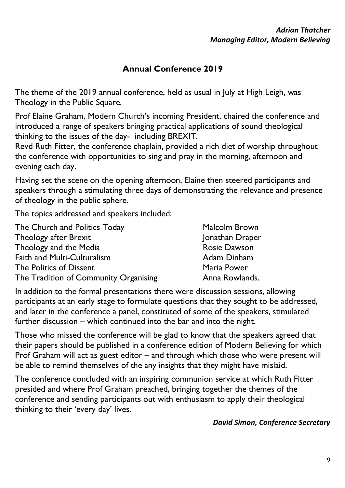# **Annual Conference 2019**

The theme of the 2019 annual conference, held as usual in July at High Leigh, was Theology in the Public Square.

Prof Elaine Graham, Modern Church's incoming President, chaired the conference and introduced a range of speakers bringing practical applications of sound theological thinking to the issues of the day- including BREXIT.

Revd Ruth Fitter, the conference chaplain, provided a rich diet of worship throughout the conference with opportunities to sing and pray in the morning, afternoon and evening each day.

Having set the scene on the opening afternoon, Elaine then steered participants and speakers through a stimulating three days of demonstrating the relevance and presence of theology in the public sphere.

The topics addressed and speakers included:

| The Church and Politics Today         | <b>Malcolm Brown</b> |
|---------------------------------------|----------------------|
| <b>Theology after Brexit</b>          | Jonathan Draper      |
| Theology and the Media                | <b>Rosie Dawson</b>  |
| <b>Faith and Multi-Culturalism</b>    | Adam Dinham          |
| The Politics of Dissent               | Maria Power          |
| The Tradition of Community Organising | Anna Rowlands.       |

In addition to the formal presentations there were discussion sessions, allowing participants at an early stage to formulate questions that they sought to be addressed, and later in the conference a panel, constituted of some of the speakers, stimulated further discussion – which continued into the bar and into the night.

Those who missed the conference will be glad to know that the speakers agreed that their papers should be published in a conference edition of Modern Believing for which Prof Graham will act as guest editor – and through which those who were present will be able to remind themselves of the any insights that they might have mislaid.

The conference concluded with an inspiring communion service at which Ruth Fitter presided and where Prof Graham preached, bringing together the themes of the conference and sending participants out with enthusiasm to apply their theological thinking to their 'every day' lives.

#### *David Simon, Conference Secretary*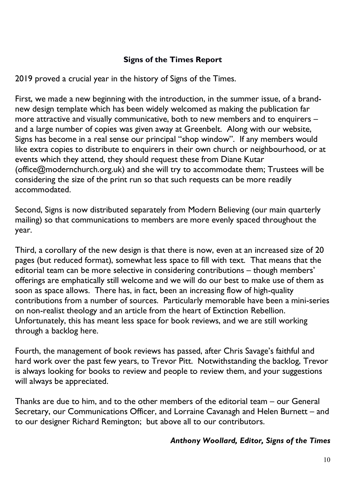# **Signs of the Times Report**

2019 proved a crucial year in the history of Signs of the Times.

First, we made a new beginning with the introduction, in the summer issue, of a brandnew design template which has been widely welcomed as making the publication far more attractive and visually communicative, both to new members and to enquirers – and a large number of copies was given away at Greenbelt. Along with our website, Signs has become in a real sense our principal "shop window". If any members would like extra copies to distribute to enquirers in their own church or neighbourhood, or at events which they attend, they should request these from Diane Kutar (office@modernchurch.org.uk) and she will try to accommodate them; Trustees will be considering the size of the print run so that such requests can be more readily accommodated.

Second, Signs is now distributed separately from Modern Believing (our main quarterly mailing) so that communications to members are more evenly spaced throughout the year.

Third, a corollary of the new design is that there is now, even at an increased size of 20 pages (but reduced format), somewhat less space to fill with text. That means that the editorial team can be more selective in considering contributions – though members' offerings are emphatically still welcome and we will do our best to make use of them as soon as space allows. There has, in fact, been an increasing flow of high-quality contributions from a number of sources. Particularly memorable have been a mini-series on non-realist theology and an article from the heart of Extinction Rebellion. Unfortunately, this has meant less space for book reviews, and we are still working through a backlog here.

Fourth, the management of book reviews has passed, after Chris Savage's faithful and hard work over the past few years, to Trevor Pitt. Notwithstanding the backlog, Trevor is always looking for books to review and people to review them, and your suggestions will always be appreciated.

Thanks are due to him, and to the other members of the editorial team – our General Secretary, our Communications Officer, and Lorraine Cavanagh and Helen Burnett – and to our designer Richard Remington; but above all to our contributors.

#### *Anthony Woollard, Editor, Signs of the Times*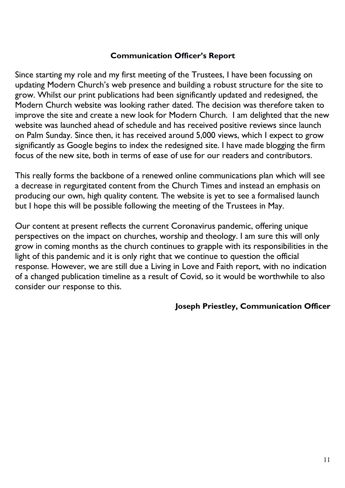#### **Communication Officer's Report**

Since starting my role and my first meeting of the Trustees, I have been focussing on updating Modern Church's web presence and building a robust structure for the site to grow. Whilst our print publications had been significantly updated and redesigned, the Modern Church website was looking rather dated. The decision was therefore taken to improve the site and create a new look for Modern Church. I am delighted that the new website was launched ahead of schedule and has received positive reviews since launch on Palm Sunday. Since then, it has received around 5,000 views, which I expect to grow significantly as Google begins to index the redesigned site. I have made blogging the firm focus of the new site, both in terms of ease of use for our readers and contributors.

This really forms the backbone of a renewed online communications plan which will see a decrease in regurgitated content from the Church Times and instead an emphasis on producing our own, high quality content. The website is yet to see a formalised launch but I hope this will be possible following the meeting of the Trustees in May.

Our content at present reflects the current Coronavirus pandemic, offering unique perspectives on the impact on churches, worship and theology. I am sure this will only grow in coming months as the church continues to grapple with its responsibilities in the light of this pandemic and it is only right that we continue to question the official response. However, we are still due a Living in Love and Faith report, with no indication of a changed publication timeline as a result of Covid, so it would be worthwhile to also consider our response to this.

#### **Joseph Priestley, Communication Officer**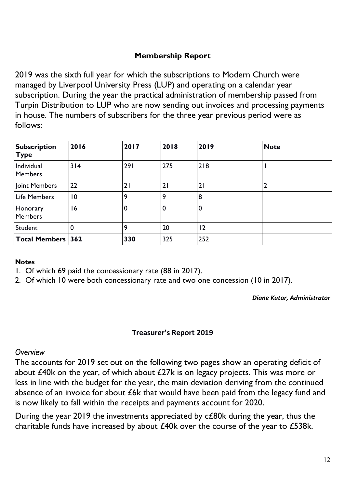### **Membership Report**

2019 was the sixth full year for which the subscriptions to Modern Church were managed by Liverpool University Press (LUP) and operating on a calendar year subscription. During the year the practical administration of membership passed from Turpin Distribution to LUP who are now sending out invoices and processing payments in house. The numbers of subscribers for the three year previous period were as follows:

| <b>Subscription</b><br><b>Type</b> | 2016            | 2017        | 2018 | 2019        | <b>Note</b> |
|------------------------------------|-----------------|-------------|------|-------------|-------------|
| Individual<br><b>Members</b>       | 314             | 291         | 275  | 218         |             |
| Joint Members                      | 22              | 21          | 21   | 21          |             |
| <b>Life Members</b>                | $\overline{10}$ | 9           | 9    | 8           |             |
| Honorary<br><b>Members</b>         | 16              | $\mathbf 0$ | 0    | $\mathbf 0$ |             |
| Student                            | $\mathbf 0$     | 9           | 20   | $ 2\rangle$ |             |
| <b>Total Members 362</b>           |                 | 330         | 325  | 252         |             |

#### **Notes**

- 1. Of which 69 paid the concessionary rate (88 in 2017).
- 2. Of which 10 were both concessionary rate and two one concession (10 in 2017).

*Diane Kutar, Administrator*

#### **Treasurer's Report 2019**

#### *Overview*

The accounts for 2019 set out on the following two pages show an operating deficit of about £40k on the year, of which about £27k is on legacy projects. This was more or less in line with the budget for the year, the main deviation deriving from the continued absence of an invoice for about £6k that would have been paid from the legacy fund and is now likely to fall within the receipts and payments account for 2020.

During the year 2019 the investments appreciated by c£80k during the year, thus the charitable funds have increased by about £40k over the course of the year to £538k.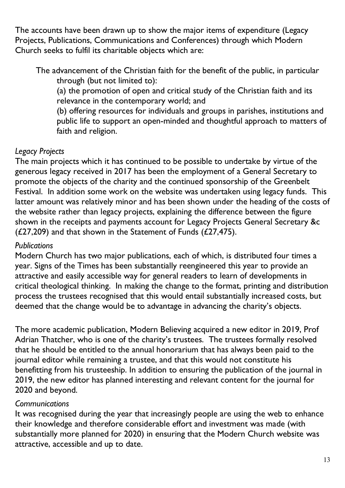The accounts have been drawn up to show the major items of expenditure (Legacy Projects, Publications, Communications and Conferences) through which Modern Church seeks to fulfil its charitable objects which are:

The advancement of the Christian faith for the benefit of the public, in particular through (but not limited to):

(a) the promotion of open and critical study of the Christian faith and its relevance in the contemporary world; and

(b) offering resources for individuals and groups in parishes, institutions and public life to support an open-minded and thoughtful approach to matters of faith and religion.

# *Legacy Projects*

The main projects which it has continued to be possible to undertake by virtue of the generous legacy received in 2017 has been the employment of a General Secretary to promote the objects of the charity and the continued sponsorship of the Greenbelt Festival. In addition some work on the website was undertaken using legacy funds. This latter amount was relatively minor and has been shown under the heading of the costs of the website rather than legacy projects, explaining the difference between the figure shown in the receipts and payments account for Legacy Projects General Secretary &c ( $£27,209$ ) and that shown in the Statement of Funds ( $£27,475$ ).

# *Publications*

Modern Church has two major publications, each of which, is distributed four times a year. Signs of the Times has been substantially reengineered this year to provide an attractive and easily accessible way for general readers to learn of developments in critical theological thinking. In making the change to the format, printing and distribution process the trustees recognised that this would entail substantially increased costs, but deemed that the change would be to advantage in advancing the charity's objects.

The more academic publication, Modern Believing acquired a new editor in 2019, Prof Adrian Thatcher, who is one of the charity's trustees. The trustees formally resolved that he should be entitled to the annual honorarium that has always been paid to the journal editor while remaining a trustee, and that this would not constitute his benefitting from his trusteeship. In addition to ensuring the publication of the journal in 2019, the new editor has planned interesting and relevant content for the journal for 2020 and beyond.

# *Communications*

It was recognised during the year that increasingly people are using the web to enhance their knowledge and therefore considerable effort and investment was made (with substantially more planned for 2020) in ensuring that the Modern Church website was attractive, accessible and up to date.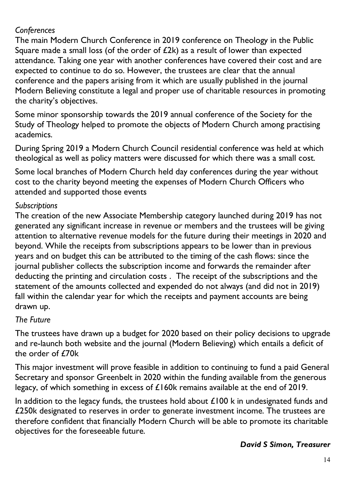# *Conferences*

The main Modern Church Conference in 2019 conference on Theology in the Public Square made a small loss (of the order of  $E2k$ ) as a result of lower than expected attendance. Taking one year with another conferences have covered their cost and are expected to continue to do so. However, the trustees are clear that the annual conference and the papers arising from it which are usually published in the journal Modern Believing constitute a legal and proper use of charitable resources in promoting the charity's objectives.

Some minor sponsorship towards the 2019 annual conference of the Society for the Study of Theology helped to promote the objects of Modern Church among practising academics.

During Spring 2019 a Modern Church Council residential conference was held at which theological as well as policy matters were discussed for which there was a small cost.

Some local branches of Modern Church held day conferences during the year without cost to the charity beyond meeting the expenses of Modern Church Officers who attended and supported those events

# *Subscriptions*

The creation of the new Associate Membership category launched during 2019 has not generated any significant increase in revenue or members and the trustees will be giving attention to alternative revenue models for the future during their meetings in 2020 and beyond. While the receipts from subscriptions appears to be lower than in previous years and on budget this can be attributed to the timing of the cash flows: since the journal publisher collects the subscription income and forwards the remainder after deducting the printing and circulation costs . The receipt of the subscriptions and the statement of the amounts collected and expended do not always (and did not in 2019) fall within the calendar year for which the receipts and payment accounts are being drawn up.

# *The Future*

The trustees have drawn up a budget for 2020 based on their policy decisions to upgrade and re-launch both website and the journal (Modern Believing) which entails a deficit of the order of  $f70k$ 

This major investment will prove feasible in addition to continuing to fund a paid General Secretary and sponsor Greenbelt in 2020 within the funding available from the generous legacy, of which something in excess of £160k remains available at the end of 2019.

In addition to the legacy funds, the trustees hold about  $£100$  k in undesignated funds and £250k designated to reserves in order to generate investment income. The trustees are therefore confident that financially Modern Church will be able to promote its charitable objectives for the foreseeable future.

#### *David S Simon, Treasurer*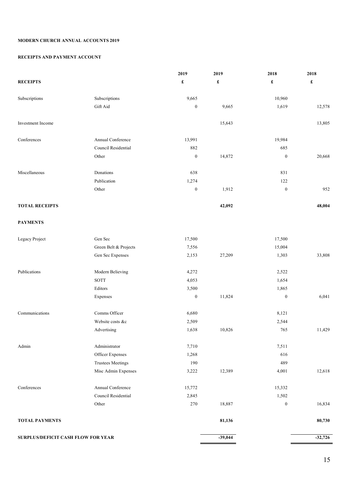#### **MODERN CHURCH ANNUAL ACCOUNTS 2019**

#### **RECEIPTS AND PAYMENT ACCOUNT**

|                                    |                          | 2019                 | 2019                 | 2018                 | 2018                 |
|------------------------------------|--------------------------|----------------------|----------------------|----------------------|----------------------|
| <b>RECEIPTS</b>                    |                          | $\pmb{\mathfrak{L}}$ | $\pmb{\mathfrak{L}}$ | $\pmb{\mathfrak{L}}$ | $\pmb{\mathfrak{L}}$ |
| Subscriptions                      | Subscriptions            | 9,665                |                      | 10,960               |                      |
|                                    | Gift Aid                 | $\boldsymbol{0}$     | 9,665                | 1,619                | 12,578               |
| Investment Income                  |                          |                      | 15,643               |                      | 13,805               |
| Conferences                        | Annual Conference        | 13,991               |                      | 19,984               |                      |
|                                    | Council Residential      | 882                  |                      | 685                  |                      |
|                                    | Other                    | $\boldsymbol{0}$     | 14,872               | $\boldsymbol{0}$     | 20,668               |
| Miscellaneous                      | Donations                | 638                  |                      | 831                  |                      |
|                                    | Publication              | 1,274                |                      | 122                  |                      |
|                                    | Other                    | $\boldsymbol{0}$     | 1,912                | $\boldsymbol{0}$     | 952                  |
| <b>TOTAL RECEIPTS</b>              |                          |                      | 42,092               |                      | 48,004               |
| <b>PAYMENTS</b>                    |                          |                      |                      |                      |                      |
| Legacy Project                     | Gen Sec                  | 17,500               |                      | 17,500               |                      |
|                                    | Green Belt & Projects    | 7,556                |                      | 15,004               |                      |
|                                    | Gen Sec Expenses         | 2,153                | 27,209               | 1,303                | 33,808               |
| Publications                       | Modern Believing         | 4,272                |                      | 2,522                |                      |
|                                    | <b>SOTT</b>              | 4,053                |                      | 1,654                |                      |
|                                    | Editors                  | 3,500                |                      | 1,865                |                      |
|                                    | Expenses                 | $\boldsymbol{0}$     | 11,824               | $\boldsymbol{0}$     | 6,041                |
| Communications                     | Comms Officer            | 6,680                |                      | 8,121                |                      |
|                                    | Website costs &c         | 2,509                |                      | 2,544                |                      |
|                                    | Advertising              | 1,638                | 10,826               | 765                  | 11,429               |
| Admin                              | Administrator            | 7,710                |                      | 7,511                |                      |
|                                    | Officer Expenses         | 1,268                |                      | 616                  |                      |
|                                    | <b>Trustees Meetings</b> | 190                  |                      | 489                  |                      |
|                                    | Misc Admin Expenses      | 3,222                | 12,389               | 4,001                | 12,618               |
| Conferences                        | Annual Conference        | 15,772               |                      | 15,332               |                      |
|                                    | Council Residential      | 2,845                |                      | 1,502                |                      |
|                                    | Other                    | 270                  | 18,887               | $\boldsymbol{0}$     | 16,834               |
| <b>TOTAL PAYMENTS</b>              |                          |                      | 81,136               |                      | 80,730               |
| SURPLUS/DEFICIT CASH FLOW FOR YEAR |                          |                      | $-39,044$            |                      | $-32,726$            |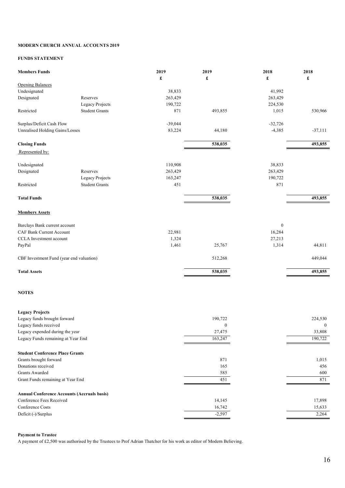#### **MODERN CHURCH ANNUAL ACCOUNTS 2019**

#### **FUNDS STATEMENT**

| <b>Members Funds</b>                     |                                                    | 2019      | 2019             | 2018             | 2018             |
|------------------------------------------|----------------------------------------------------|-----------|------------------|------------------|------------------|
| <b>Opening Balances</b>                  |                                                    | £         | £                | £                | £                |
| Undesignated                             |                                                    | 38,833    |                  | 41,992           |                  |
| Designated                               | Reserves                                           | 263,429   |                  | 263,429          |                  |
|                                          | Legacy Projects                                    | 190,722   |                  | 224,530          |                  |
| Restricted                               | <b>Student Grants</b>                              | 871       | 493,855          | 1,015            | 530,966          |
|                                          |                                                    |           |                  |                  |                  |
| Surplus/Deficit Cash Flow                |                                                    | $-39,044$ |                  | $-32,726$        |                  |
| <b>Unrealised Holding Gains/Losses</b>   |                                                    | 83,224    | 44,180           | $-4,385$         | $-37,111$        |
| <b>Closing Funds</b>                     |                                                    |           | 538,035          |                  | 493,855          |
| Represented by:                          |                                                    |           |                  |                  |                  |
| Undesignated                             |                                                    | 110,908   |                  | 38,833           |                  |
| Designated                               | Reserves                                           | 263,429   |                  | 263,429          |                  |
|                                          | Legacy Projects                                    | 163,247   |                  | 190,722          |                  |
| Restricted                               | <b>Student Grants</b>                              | 451       |                  | 871              |                  |
| <b>Total Funds</b>                       |                                                    |           | 538,035          |                  | 493,855          |
|                                          |                                                    |           |                  |                  |                  |
| <b>Members Assets</b>                    |                                                    |           |                  |                  |                  |
| Barclays Bank current account            |                                                    |           |                  | $\boldsymbol{0}$ |                  |
| CAF Bank Current Account                 |                                                    | 22,981    |                  | 16,284           |                  |
| CCLA Investment account                  |                                                    | 1,324     |                  | 27,213           |                  |
| PayPal                                   |                                                    | 1,461     | 25,767           | 1,314            | 44,811           |
| CBF Investment Fund (year end valuation) |                                                    |           | 512,268          |                  | 449,044          |
| <b>Total Assets</b>                      |                                                    |           | 538,035          |                  | 493,855          |
| <b>NOTES</b>                             |                                                    |           |                  |                  |                  |
| <b>Legacy Projects</b>                   |                                                    |           |                  |                  |                  |
| Legacy funds brought forward             |                                                    |           | 190,722          |                  | 224,530          |
| Legacy funds received                    |                                                    |           | $\boldsymbol{0}$ |                  | $\boldsymbol{0}$ |
| Legacy expended during the year          |                                                    |           | 27,475           |                  | 33,808           |
| Legacy Funds remaining at Year End       |                                                    |           | 163,247          |                  | 190,722          |
| <b>Student Conference Place Grants</b>   |                                                    |           |                  |                  |                  |
| Grants brought forward                   |                                                    |           | 871              |                  | 1,015            |
| Donations received                       |                                                    |           | 165              |                  | 456              |
| <b>Grants Awarded</b>                    |                                                    |           | 585              |                  | 600              |
| Grant Funds remaining at Year End        |                                                    |           | 451              |                  | 871              |
|                                          | <b>Annual Conference Accounts (Accruals basis)</b> |           |                  |                  |                  |
| Conference Fees Received                 |                                                    |           | 14,145           |                  | 17,898           |
| Conference Costs                         |                                                    |           | 16,742           |                  | 15,633           |
| Deficit (-)/Surplus                      |                                                    |           | $-2,597$         |                  | 2,264            |
|                                          |                                                    |           |                  |                  |                  |

#### **Payment to Trustee**

A payment of £2,500 was authorised by the Trustees to Prof Adrian Thatcher for his work as editor of Modern Believing.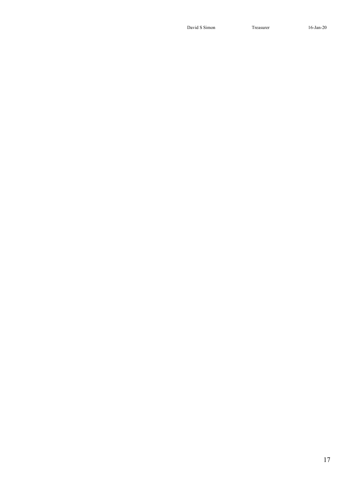David S Simon Treasurer 16-Jan-20

17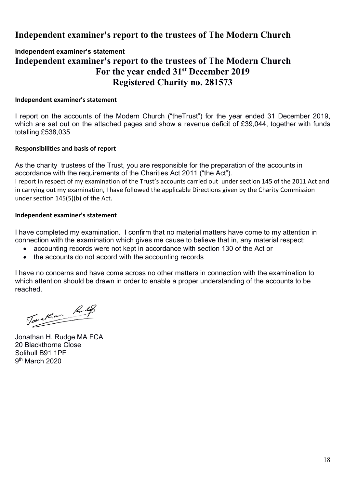# **Independent examiner's report to the trustees of The Modern Church**

### **Independent examiner's statement Independent examiner's report to the trustees of The Modern Church For the year ended 31st December 2019 Registered Charity no. 281573**

#### **Independent examiner's statement**

I report on the accounts of the Modern Church ("theTrust") for the year ended 31 December 2019, which are set out on the attached pages and show a revenue deficit of £39,044, together with funds totalling £538,035

#### **Responsibilities and basis of report**

As the charity trustees of the Trust, you are responsible for the preparation of the accounts in accordance with the requirements of the Charities Act 2011 ("the Act").

I report in respect of my examination of the Trust's accounts carried out under section 145 of the 2011 Act and in carrying out my examination, I have followed the applicable Directions given by the Charity Commission under section 145(5)(b) of the Act.

#### **Independent examiner's statement**

I have completed my examination. I confirm that no material matters have come to my attention in connection with the examination which gives me cause to believe that in, any material respect:

- accounting records were not kept in accordance with section 130 of the Act or
- the accounts do not accord with the accounting records

I have no concerns and have come across no other matters in connection with the examination to which attention should be drawn in order to enable a proper understanding of the accounts to be reached.

Tonakan Rulp

Jonathan H. Rudge MA FCA 20 Blackthorne Close Solihull B91 1PF 9th March 2020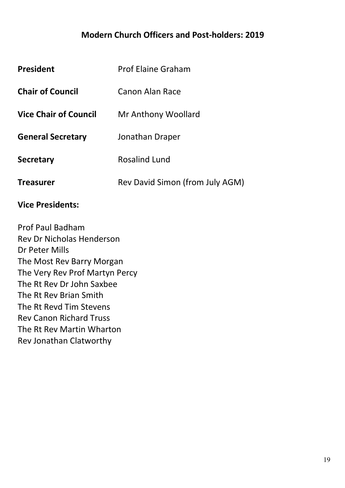# **Modern Church Officers and Post-holders: 2019**

| <b>President</b>             | <b>Prof Elaine Graham</b>       |
|------------------------------|---------------------------------|
| <b>Chair of Council</b>      | Canon Alan Race                 |
| <b>Vice Chair of Council</b> | Mr Anthony Woollard             |
| <b>General Secretary</b>     | Jonathan Draper                 |
| <b>Secretary</b>             | <b>Rosalind Lund</b>            |
| <b>Treasurer</b>             | Rev David Simon (from July AGM) |

# **Vice Presidents:**

Prof Paul Badham Rev Dr Nicholas Henderson Dr Peter Mills The Most Rev Barry Morgan The Very Rev Prof Martyn Percy The Rt Rev Dr John Saxbee The Rt Rev Brian Smith The Rt Revd Tim Stevens Rev Canon Richard Truss The Rt Rev Martin Wharton Rev Jonathan Clatworthy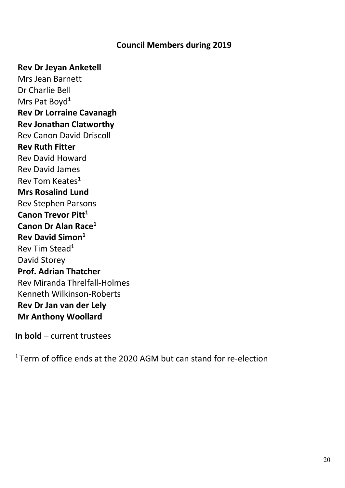### **Council Members during 2019**

#### **Rev Dr Jeyan Anketell**

Mrs Jean Barnett Dr Charlie Bell Mrs Pat Boyd**<sup>1</sup> Rev Dr Lorraine Cavanagh Rev Jonathan Clatworthy** Rev Canon David Driscoll **Rev Ruth Fitter** Rev David Howard Rev David James Rev Tom Keates**<sup>1</sup> Mrs Rosalind Lund** Rev Stephen Parsons **Canon Trevor Pitt<sup>1</sup> Canon Dr Alan Race1 Rev David Simon1** Rev Tim Stead**<sup>1</sup>** David Storey **Prof. Adrian Thatcher** Rev Miranda Threlfall-Holmes Kenneth Wilkinson-Roberts **Rev Dr Jan van der Lely Mr Anthony Woollard**

**In bold** – current trustees

 $1$  Term of office ends at the 2020 AGM but can stand for re-election